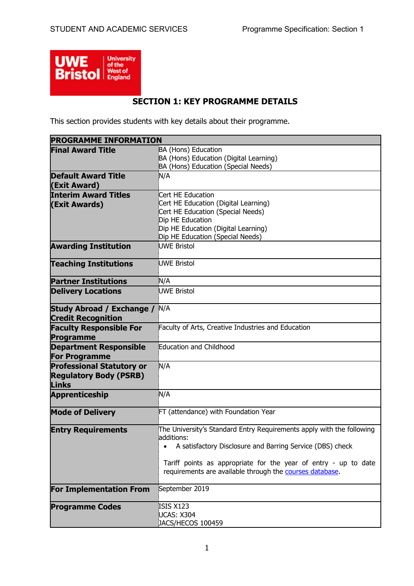

# **SECTION 1: KEY PROGRAMME DETAILS**

This section provides students with key details about their programme.

| <b>PROGRAMME INFORMATION</b>     |                                                                                                                             |
|----------------------------------|-----------------------------------------------------------------------------------------------------------------------------|
| <b>Final Award Title</b>         | BA (Hons) Education                                                                                                         |
|                                  | BA (Hons) Education (Digital Learning)                                                                                      |
|                                  | BA (Hons) Education (Special Needs)                                                                                         |
| <b>Default Award Title</b>       | N/A                                                                                                                         |
| (Exit Award)                     |                                                                                                                             |
| <b>Interim Award Titles</b>      | Cert HE Education                                                                                                           |
| (Exit Awards)                    | Cert HE Education (Digital Learning)                                                                                        |
|                                  | Cert HE Education (Special Needs)                                                                                           |
|                                  | Dip HE Education                                                                                                            |
|                                  | Dip HE Education (Digital Learning)                                                                                         |
|                                  | Dip HE Education (Special Needs)                                                                                            |
| <b>Awarding Institution</b>      | <b>UWE Bristol</b>                                                                                                          |
| <b>Teaching Institutions</b>     | <b>UWE Bristol</b>                                                                                                          |
| <b>Partner Institutions</b>      | N/A                                                                                                                         |
| <b>Delivery Locations</b>        | <b>UWE Bristol</b>                                                                                                          |
| Study Abroad / Exchange /        | N/A                                                                                                                         |
| <b>Credit Recognition</b>        |                                                                                                                             |
| <b>Faculty Responsible For</b>   | Faculty of Arts, Creative Industries and Education                                                                          |
| Programme                        |                                                                                                                             |
| <b>Department Responsible</b>    | Education and Childhood                                                                                                     |
| <b>For Programme</b>             |                                                                                                                             |
| <b>Professional Statutory or</b> | N/A                                                                                                                         |
| <b>Regulatory Body (PSRB)</b>    |                                                                                                                             |
| <b>Links</b>                     |                                                                                                                             |
| <b>Apprenticeship</b>            | N/A                                                                                                                         |
|                                  |                                                                                                                             |
| <b>Mode of Delivery</b>          | FT (attendance) with Foundation Year                                                                                        |
| <b>Entry Requirements</b>        | The University's Standard Entry Requirements apply with the following                                                       |
|                                  | additions:                                                                                                                  |
|                                  | • A satisfactory Disclosure and Barring Service (DBS) check                                                                 |
|                                  |                                                                                                                             |
|                                  | Tariff points as appropriate for the year of entry - up to date<br>requirements are available through the courses database. |
| <b>For Implementation From</b>   | September 2019                                                                                                              |
| <b>Programme Codes</b>           | ISIS X123                                                                                                                   |
|                                  | UCAS: X304                                                                                                                  |
|                                  | JACS/HECOS 100459                                                                                                           |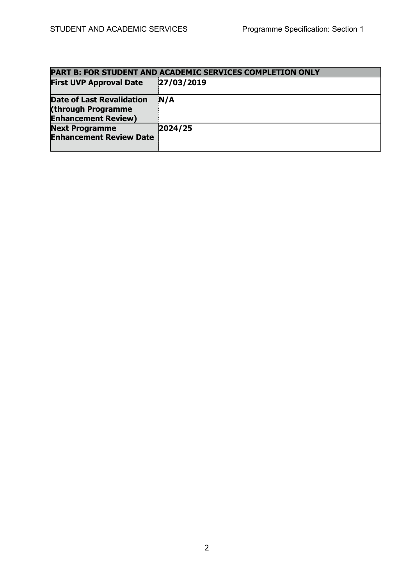| PART B: FOR STUDENT AND ACADEMIC SERVICES COMPLETION ONLY                            |            |  |  |  |  |  |
|--------------------------------------------------------------------------------------|------------|--|--|--|--|--|
| <b>First UVP Approval Date</b>                                                       | 27/03/2019 |  |  |  |  |  |
| <b>Date of Last Revalidation</b><br>(through Programme<br><b>Enhancement Review)</b> | N/A        |  |  |  |  |  |
| <b>Next Programme</b><br><b>Enhancement Review Date</b>                              | 2024/25    |  |  |  |  |  |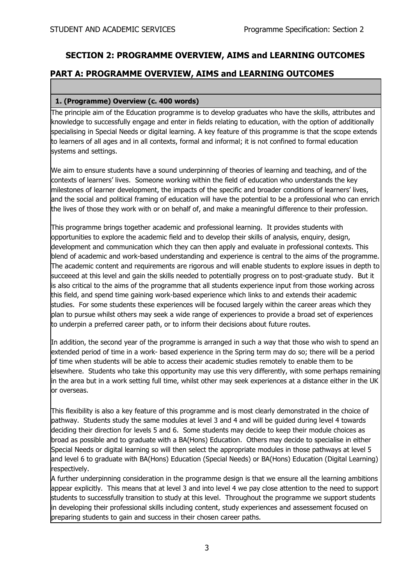# **SECTION 2: PROGRAMME OVERVIEW, AIMS and LEARNING OUTCOMES**

# **PART A: PROGRAMME OVERVIEW, AIMS and LEARNING OUTCOMES**

### **1. (Programme) Overview (c. 400 words)**

The principle aim of the Education programme is to develop graduates who have the skills, attributes and knowledge to successfully engage and enter in fields relating to education, with the option of additionally specialising in Special Needs or digital learning. A key feature of this programme is that the scope extends to learners of all ages and in all contexts, formal and informal; it is not confined to formal education systems and settings.

We aim to ensure students have a sound underpinning of theories of learning and teaching, and of the contexts of learners' lives. Someone working within the field of education who understands the key milestones of learner development, the impacts of the specific and broader conditions of learners' lives, and the social and political framing of education will have the potential to be a professional who can enrich the lives of those they work with or on behalf of, and make a meaningful difference to their profession.

This programme brings together academic and professional learning. It provides students with opportunities to explore the academic field and to develop their skills of analysis, enquiry, design, development and communication which they can then apply and evaluate in professional contexts. This blend of academic and work-based understanding and experience is central to the aims of the programme. The academic content and requirements are rigorous and will enable students to explore issues in depth to succeeed at this level and gain the skills needed to potentially progress on to post-graduate study. But it is also critical to the aims of the programme that all students experience input from those working across this field, and spend time gaining work-based experience which links to and extends their academic studies. For some students these experiences will be focused largely within the career areas which they plan to pursue whilst others may seek a wide range of experiences to provide a broad set of experiences to underpin a preferred career path, or to inform their decisions about future routes.

In addition, the second year of the programme is arranged in such a way that those who wish to spend an extended period of time in a work- based experience in the Spring term may do so; there will be a period of time when students will be able to access their academic studies remotely to enable them to be elsewhere. Students who take this opportunity may use this very differently, with some perhaps remaining in the area but in a work setting full time, whilst other may seek experiences at a distance either in the UK or overseas.

This flexibility is also a key feature of this programme and is most clearly demonstrated in the choice of pathway. Students study the same modules at level 3 and 4 and will be guided during level 4 towards deciding their direction for levels 5 and 6. Some students may decide to keep their module choices as broad as possible and to graduate with a BA(Hons) Education. Others may decide to specialise in either Special Needs or digital learning so will then select the appropriate modules in those pathways at level 5 and level 6 to graduate with BA(Hons) Education (Special Needs) or BA(Hons) Education (Digital Learning) respectively.

A further underpinning consideration in the programme design is that we ensure all the learning ambitions appear explicitly. This means that at level 3 and into level 4 we pay close attention to the need to support students to successfully transition to study at this level. Throughout the programme we support students in developing their professional skills including content, study experiences and assessement focused on preparing students to gain and success in their chosen career paths.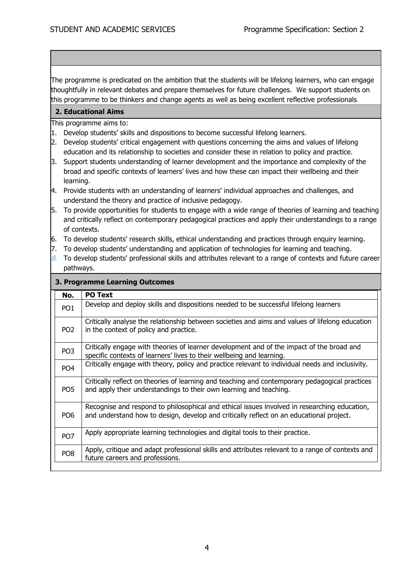The programme is predicated on the ambition that the students will be lifelong learners, who can engage thoughtfully in relevant debates and prepare themselves for future challenges. We support students on this programme to be thinkers and change agents as well as being excellent reflective professionals.

### **2. Educational Aims**

This programme aims to:

- 1. Develop students' skills and dispositions to become successful lifelong learners.
- 2. Develop students' critical engagement with questions concerning the aims and values of lifelong education and its relationship to societies and consider these in relation to policy and practice.
- 3. Support students understanding of learner development and the importance and complexity of the broad and specific contexts of learners' lives and how these can impact their wellbeing and their learning.
- 4. Provide students with an understanding of learners' individual approaches and challenges, and understand the theory and practice of inclusive pedagogy.
- 5. To provide opportunities for students to engage with a wide range of theories of learning and teaching and critically reflect on contemporary pedagogical practices and apply their understandings to a range of contexts.
- 6. To develop students' research skills, ethical understanding and practices through enquiry learning.
- 7. To develop students' understanding and application of technologies for learning and teaching.
- $8.$  To develop students' professional skills and attributes relevant to a range of contexts and future career pathways.

#### **3. Programme Learning Outcomes**

| No.             | <b>PO Text</b>                                                                                                                                                                          |
|-----------------|-----------------------------------------------------------------------------------------------------------------------------------------------------------------------------------------|
| PO <sub>1</sub> | Develop and deploy skills and dispositions needed to be successful lifelong learners                                                                                                    |
| PO <sub>2</sub> | Critically analyse the relationship between societies and aims and values of lifelong education<br>in the context of policy and practice.                                               |
| PO <sub>3</sub> | Critically engage with theories of learner development and of the impact of the broad and<br>specific contexts of learners' lives to their wellbeing and learning.                      |
| PO <sub>4</sub> | Critically engage with theory, policy and practice relevant to individual needs and inclusivity.                                                                                        |
| PO <sub>5</sub> | Critically reflect on theories of learning and teaching and contemporary pedagogical practices<br>and apply their understandings to their own learning and teaching.                    |
| PO <sub>6</sub> | Recognise and respond to philosophical and ethical issues involved in researching education,<br>and understand how to design, develop and critically reflect on an educational project. |
| PO <sub>7</sub> | Apply appropriate learning technologies and digital tools to their practice.                                                                                                            |
| PO <sub>8</sub> | Apply, critique and adapt professional skills and attributes relevant to a range of contexts and<br>future careers and professions.                                                     |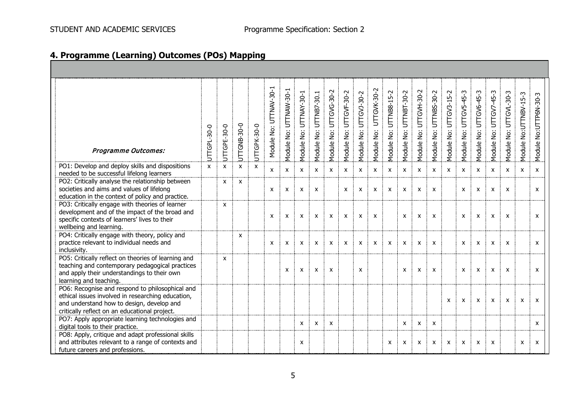# **4. Programme (Learning) Outcomes (POs) Mapping**

| <b>Programme Outcomes:</b>                                                                                                                                                                         | UTTGPL-30-0 | UTTGPE-30-0  | UTTGNB-30-0  | UTTGPK-30-0  | Module No: UTTNAV-30-1 | Module No: UTTNAW-30-1 | UTTNAY-30-1<br>Module No: | UTTNB7-30.1<br>Module No: | UTTGVG-30-2<br>Module No: | UTTGVF-30-2<br>Module No: | UTTGVJ-30-2<br>Module No: | UTTGVK-30-2<br>Module No: | UTTNB8-15-2<br>Module No: | UTTNBT-30-2<br>Module No: | UTTGVH-30-2<br>Module No: | UTTNBS-30-2<br>Module No: | UTTGV3-15-2<br>Module No: | UTTGV5-45-3<br>Module No: | UTTGV6-45-3<br>Module No: | UTTGV7-45-3<br>Module No: | UTTGVL-30-3<br>Module No: | No:UTTNBV-15-3<br>Module I | No:UTTP6N-30-3<br>Module |
|----------------------------------------------------------------------------------------------------------------------------------------------------------------------------------------------------|-------------|--------------|--------------|--------------|------------------------|------------------------|---------------------------|---------------------------|---------------------------|---------------------------|---------------------------|---------------------------|---------------------------|---------------------------|---------------------------|---------------------------|---------------------------|---------------------------|---------------------------|---------------------------|---------------------------|----------------------------|--------------------------|
| PO1: Develop and deploy skills and dispositions<br>needed to be successful lifelong learners                                                                                                       | X           | $\mathsf{x}$ | $\mathsf{x}$ | $\mathsf{x}$ | X                      | X                      | X                         | $\mathsf{x}$              | $\mathsf{x}$              | $\mathsf{x}$              | $\mathsf{x}$              | $\boldsymbol{\mathsf{x}}$ | $\mathsf{x}$              | $\mathsf{x}$              | $\mathsf{x}$              | $\mathsf{x}$              | X                         | $\mathsf{x}$              | $\mathsf{x}$              | $\mathsf{x}$              | $\mathsf{x}$              | X                          | X                        |
| PO2: Critically analyse the relationship between<br>societies and aims and values of lifelong<br>education in the context of policy and practice.                                                  |             | X            | $\mathsf{x}$ |              | X                      | X                      | $\boldsymbol{\mathsf{x}}$ | $\mathsf{x}$              |                           | $\mathsf{x}$              | $\mathsf{x}$              | $\boldsymbol{\mathsf{x}}$ | $\mathsf{x}$              | $\boldsymbol{\mathsf{x}}$ | $\boldsymbol{\mathsf{x}}$ | $\mathsf{x}$              |                           | $\mathsf{x}$              | $\mathsf{x}$              | $\boldsymbol{\mathsf{x}}$ | $\mathsf{x}$              |                            | X                        |
| PO3: Critically engage with theories of learner<br>development and of the impact of the broad and<br>specific contexts of learners' lives to their<br>wellbeing and learning.                      |             | X            |              |              | X                      | X                      | X                         | $\boldsymbol{\mathsf{x}}$ | X                         | X                         | X                         | $\boldsymbol{\mathsf{x}}$ |                           | X                         | X                         | X                         |                           | $\boldsymbol{\mathsf{x}}$ | X                         | X                         | X                         |                            | X                        |
| PO4: Critically engage with theory, policy and<br>practice relevant to individual needs and<br>inclusivity.                                                                                        |             |              | $\mathsf{x}$ |              | X                      | X                      | X                         | $\boldsymbol{\mathsf{x}}$ | $\mathsf{x}$              | $\mathsf{x}$              | $\pmb{\chi}$              | X                         | $\boldsymbol{\mathsf{X}}$ | X                         | $\mathsf{x}$              | X                         |                           | $\boldsymbol{\mathsf{x}}$ | $\mathsf{x}$              | $\pmb{\chi}$              | X                         |                            | X                        |
| PO5: Critically reflect on theories of learning and<br>teaching and contemporary pedagogical practices<br>and apply their understandings to their own<br>learning and teaching.                    |             | X            |              |              |                        | X                      | X                         | $\boldsymbol{\mathsf{x}}$ | $\boldsymbol{\mathsf{x}}$ |                           | $\boldsymbol{\mathsf{x}}$ |                           |                           | X                         | X                         | $\mathsf{x}$              |                           | $\mathsf{x}$              | $\mathsf{x}$              | $\boldsymbol{\mathsf{x}}$ | $\boldsymbol{\mathsf{x}}$ |                            | X                        |
| PO6: Recognise and respond to philosophical and<br>ethical issues involved in researching education,<br>and understand how to design, develop and<br>critically reflect on an educational project. |             |              |              |              |                        |                        |                           |                           |                           |                           |                           |                           |                           |                           |                           |                           | X                         | $\mathsf{x}$              | $\boldsymbol{\mathsf{x}}$ | $\mathsf{x}$              | $\boldsymbol{\mathsf{x}}$ | $\boldsymbol{\mathsf{x}}$  | $\mathbf{x}$             |
| PO7: Apply appropriate learning technologies and<br>digital tools to their practice.                                                                                                               |             |              |              |              |                        |                        | X                         | X                         | X                         |                           |                           |                           |                           | X                         | X                         | $\mathsf{x}$              |                           |                           |                           |                           |                           |                            | X                        |
| PO8: Apply, critique and adapt professional skills<br>and attributes relevant to a range of contexts and<br>future careers and professions.                                                        |             |              |              |              |                        |                        | X                         |                           |                           |                           |                           |                           | $\boldsymbol{\mathsf{x}}$ | X                         | X                         | X                         | X                         | x                         | X                         | X                         |                           | X                          | X                        |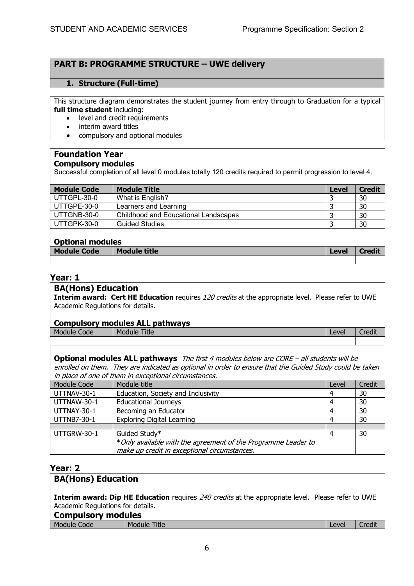# **PART B: PROGRAMME STRUCTURE – UWE delivery**

### **1. Structure (Full-time)**

This structure diagram demonstrates the student journey from entry through to Graduation for a typical **full time student** including:

- level and credit requirements
- interim award titles
- compulsory and optional modules

#### **Foundation Year Compulsory modules**

Successful completion of all level 0 modules totally 120 credits required to permit progression to level 4.

| <b>Module Code</b> | <b>Module Title</b>                  | Level | <b>Credit</b> |  |  |  |  |
|--------------------|--------------------------------------|-------|---------------|--|--|--|--|
| UTTGPL-30-0        | What is English?                     |       | 30            |  |  |  |  |
| UTTGPE-30-0        | Learners and Learning                |       | 30            |  |  |  |  |
| UTTGNB-30-0        | Childhood and Educational Landscapes |       | 30            |  |  |  |  |
| UTTGPK-30-0        | <b>Guided Studies</b>                |       | 30            |  |  |  |  |
| Ontional modules   |                                      |       |               |  |  |  |  |

### **Optional modules**

| <b>PREPRIET HIVESICS</b> |                     |       |               |  |  |  |  |  |  |
|--------------------------|---------------------|-------|---------------|--|--|--|--|--|--|
| <b>Module Code</b>       | <b>Module title</b> | Level | <b>Credit</b> |  |  |  |  |  |  |
|                          |                     |       |               |  |  |  |  |  |  |

### **Year: 1**

#### **BA(Hons) Education**

**Interim award: Cert HE Education** requires 120 credits at the appropriate level. Please refer to UWE Academic Regulations for details.

#### **Compulsory modules ALL pathways**

| Mo | ode | Mc<br>ШE<br>пте |  | $\sim$<br>ᄔ៴៴ | $\cdots$<br>ur |
|----|-----|-----------------|--|---------------|----------------|
|    |     |                 |  |               |                |

**Optional modules ALL pathways** The first 4 modules below are CORE – all students will be enrolled on them. They are indicated as optional in order to ensure that the Guided Study could be taken in place of one of them in exceptional circumstances.

| Module Code | Module title                                                                                                                   | Level | Credit |
|-------------|--------------------------------------------------------------------------------------------------------------------------------|-------|--------|
| UTTNAV-30-1 | Education, Society and Inclusivity                                                                                             | 4     | 30     |
| UTTNAW-30-1 | <b>Educational Journeys</b>                                                                                                    | 4     | 30     |
| UTTNAY-30-1 | Becoming an Educator                                                                                                           | 4     | 30     |
| UTTNB7-30-1 | <b>Exploring Digital Learning</b>                                                                                              | 4     | 30     |
|             |                                                                                                                                |       |        |
| UTTGRW-30-1 | Guided Study*<br>*Only available with the agreement of the Programme Leader to<br>make up credit in exceptional circumstances. | 4     | 30     |

### **Year: 2**

#### **BA(Hons) Education**

**Interim award: Dip HE Education** requires 240 credits at the appropriate level. Please refer to UWE Academic Regulations for details.

#### **Compulsory modules**

| Module | Code | ---<br>Module<br>l itle | AYA<br>ᄂᇰັັ | <b>Ball</b><br>edit |
|--------|------|-------------------------|-------------|---------------------|
|        |      |                         |             |                     |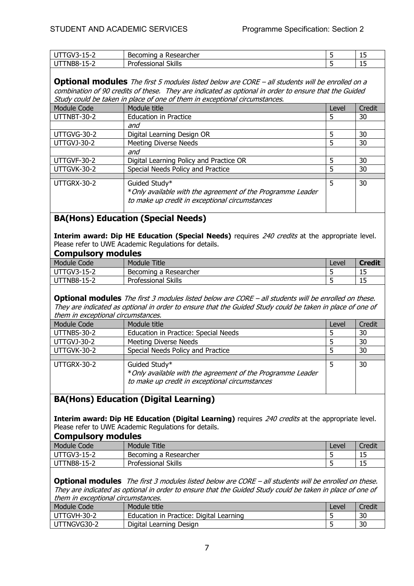| $\sim$<br>--<br>``<br>-<br>-- | rcher<br>UHII.<br>. ה<br>. | . .<br>- 11 - 11 |
|-------------------------------|----------------------------|------------------|
| ¬-<br>AL.<br>--<br>. .        | <br>OKIIIS                 | -<br>--          |

**Optional modules** The first 5 modules listed below are CORE – all students will be enrolled on a combination of 90 credits of these. They are indicated as optional in order to ensure that the Guided Study could be taken in place of one of them in exceptional circumstances.

| Module Code        | Module title                                                | Level | Credit |
|--------------------|-------------------------------------------------------------|-------|--------|
| UTTNBT-30-2        | <b>Education in Practice</b>                                |       | 30     |
|                    | and                                                         |       |        |
| UTTGVG-30-2        | Digital Learning Design OR                                  |       | 30     |
| <b>UTTGVJ-30-2</b> | <b>Meeting Diverse Needs</b>                                |       | 30     |
|                    | and                                                         |       |        |
| UTTGVF-30-2        | Digital Learning Policy and Practice OR                     | 5     | 30     |
| UTTGVK-30-2        | Special Needs Policy and Practice                           | 5     | 30     |
|                    |                                                             |       |        |
| UTTGRX-30-2        | Guided Study*                                               | 5     | 30     |
|                    | * Only available with the agreement of the Programme Leader |       |        |
|                    | to make up credit in exceptional circumstances              |       |        |
|                    |                                                             |       |        |

# **BA(Hons) Education (Special Needs)**

**Interim award: Dip HE Education (Special Needs)** requires 240 credits at the appropriate level. Please refer to UWE Academic Regulations for details.

| <b>Module Code</b> | <b>Title</b><br>Module        | Level | <b>Credit</b> |
|--------------------|-------------------------------|-------|---------------|
| <b>UTTGV3-15-2</b> | Becoming a Researcher         |       | ر_ ر          |
| UTTNB8-15-2        | <b>Skills</b><br>Professional |       | 15<br>ر_ ر    |
|                    |                               |       |               |

**Optional modules** The first 3 modules listed below are CORE – all students will be enrolled on these. They are indicated as optional in order to ensure that the Guided Study could be taken in place of one of them in exceptional circumstances.

| Module Code | Module title                                                                                                                   | Level | Credit |
|-------------|--------------------------------------------------------------------------------------------------------------------------------|-------|--------|
| UTTNBS-30-2 | Education in Practice: Special Needs                                                                                           |       | 30     |
| UTTGVJ-30-2 | <b>Meeting Diverse Needs</b>                                                                                                   |       | 30     |
| UTTGVK-30-2 | Special Needs Policy and Practice                                                                                              |       | 30     |
|             |                                                                                                                                |       |        |
| UTTGRX-30-2 | Guided Study*<br>* Only available with the agreement of the Programme Leader<br>to make up credit in exceptional circumstances |       | 30     |

# **BA(Hons) Education (Digital Learning)**

**Interim award: Dip HE Education (Digital Learning)** requires 240 credits at the appropriate level. Please refer to UWE Academic Regulations for details. **Compulsory modules** 

| COMPUTE COMPUTE    |                       |       |        |
|--------------------|-----------------------|-------|--------|
| Module Code        | Module Title          | Level | Credit |
| <b>UTTGV3-15-2</b> | Becoming a Researcher |       | ن ل    |
| <b>UTTNB8-15-2</b> | Professional Skills   |       | ∸ →    |

**Optional modules** The first 3 modules listed below are CORE – all students will be enrolled on these. They are indicated as optional in order to ensure that the Guided Study could be taken in place of one of them in exceptional circumstances.

| Module Code | Module title                            | Level | Credit |
|-------------|-----------------------------------------|-------|--------|
| UTTGVH-30-2 | Education in Practice: Digital Learning |       | 30     |
| UTTNGVG30-2 | Digital Learning Design                 |       | 30     |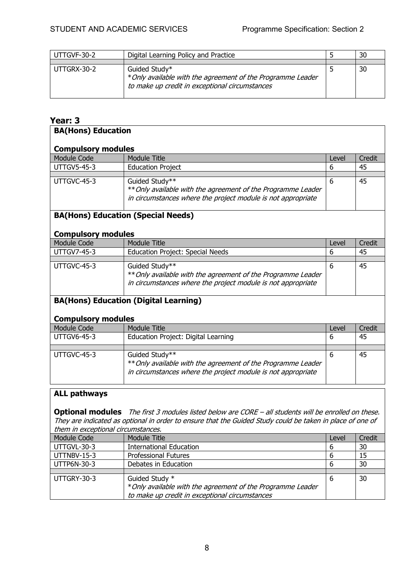| UTTGVF-30-2 | Digital Learning Policy and Practice                                                                                           | 30 |
|-------------|--------------------------------------------------------------------------------------------------------------------------------|----|
|             |                                                                                                                                |    |
| UTTGRX-30-2 | Guided Study*<br>* Only available with the agreement of the Programme Leader<br>to make up credit in exceptional circumstances | 30 |

# **Year: 3**

| <b>BA(Hons) Education</b>                                                 |                                                                                                                                                |       |        |  |
|---------------------------------------------------------------------------|------------------------------------------------------------------------------------------------------------------------------------------------|-------|--------|--|
| <b>Compulsory modules</b>                                                 |                                                                                                                                                |       |        |  |
| <b>Module Code</b>                                                        | <b>Module Title</b>                                                                                                                            | Level | Credit |  |
| <b>UTTGV5-45-3</b>                                                        | <b>Education Project</b>                                                                                                                       | 6     | 45     |  |
| UTTGVC-45-3                                                               | Guided Study**<br>** Only available with the agreement of the Programme Leader<br>in circumstances where the project module is not appropriate | 6     | 45     |  |
| <b>Compulsory modules</b>                                                 | <b>BA(Hons) Education (Special Needs)</b>                                                                                                      |       |        |  |
| <b>Module Code</b>                                                        | <b>Module Title</b>                                                                                                                            | Level | Credit |  |
| <b>UTTGV7-45-3</b>                                                        | <b>Education Project: Special Needs</b>                                                                                                        | 6     | 45     |  |
| UTTGVC-45-3                                                               | Guided Study**<br>** Only available with the agreement of the Programme Leader<br>in circumstances where the project module is not appropriate | 6     | 45     |  |
| <b>BA(Hons) Education (Digital Learning)</b><br><b>Compulsory modules</b> |                                                                                                                                                |       |        |  |
| <b>Module Code</b>                                                        | <b>Module Title</b>                                                                                                                            | Level | Credit |  |
| <b>UTTGV6-45-3</b>                                                        | <b>Education Project: Digital Learning</b>                                                                                                     | 6     | 45     |  |
|                                                                           |                                                                                                                                                |       |        |  |
| UTTGVC-45-3                                                               | Guided Study**<br>** Only available with the agreement of the Programme Leader<br>in circumstances where the project module is not appropriate | 6     | 45     |  |

# **ALL pathways**

**Optional modules** The first 3 modules listed below are CORE – all students will be enrolled on these. They are indicated as optional in order to ensure that the Guided Study could be taken in place of one of them in exceptional circumstances.

| Module Code | Module Title                                                                  | Level | Credit |
|-------------|-------------------------------------------------------------------------------|-------|--------|
| UTTGVL-30-3 | <b>International Education</b>                                                | b     | 30     |
| UTTNBV-15-3 | <b>Professional Futures</b>                                                   | b     | 15     |
| UTTP6N-30-3 | Debates in Education                                                          | b     | 30     |
|             |                                                                               |       |        |
| UTTGRY-30-3 | Guided Study *<br>* Only available with the agreement of the Programme Leader | -6    | 30     |
|             | to make up credit in exceptional circumstances                                |       |        |